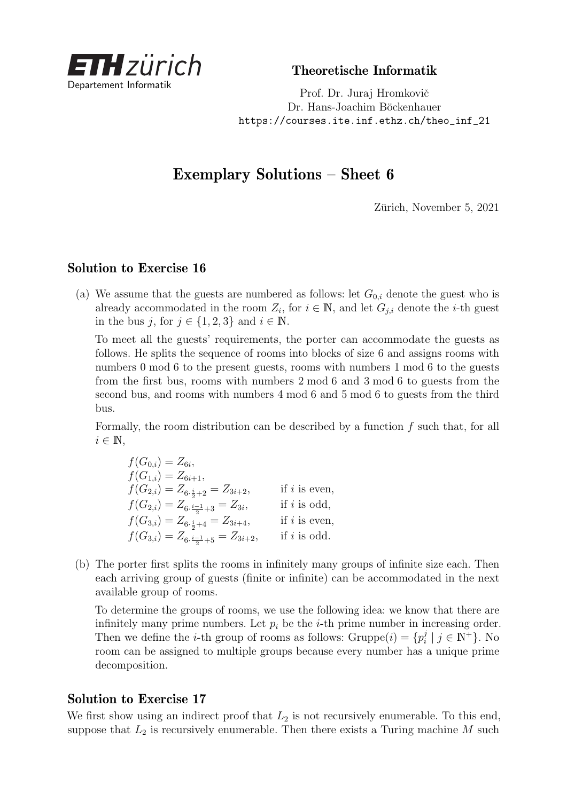

Theoretische Informatik

Prof. Dr. Juraj Hromkovič Dr. Hans-Joachim Böckenhauer [https://courses.ite.inf.ethz.ch/theo\\_inf\\_21](https://courses.ite.inf.ethz.ch/theo_inf_21)

## Exemplary Solutions – Sheet 6

Zürich, November 5, 2021

## Solution to Exercise 16

(a) We assume that the guests are numbered as follows: let  $G_{0,i}$  denote the guest who is already accommodated in the room  $Z_i$ , for  $i \in \mathbb{N}$ , and let  $G_{j,i}$  denote the *i*-th guest in the bus *j*, for  $j \in \{1, 2, 3\}$  and  $i \in \mathbb{N}$ .

To meet all the guests' requirements, the porter can accommodate the guests as follows. He splits the sequence of rooms into blocks of size 6 and assigns rooms with numbers 0 mod 6 to the present guests, rooms with numbers 1 mod 6 to the guests from the first bus, rooms with numbers 2 mod 6 and 3 mod 6 to guests from the second bus, and rooms with numbers 4 mod 6 and 5 mod 6 to guests from the third bus.

Formally, the room distribution can be described by a function *f* such that, for all  $i \in \mathbb{N}$ ,

| $f(G_{0,i})=Z_{6i},$                            |                 |
|-------------------------------------------------|-----------------|
| $f(G_{1,i})=Z_{6i+1},$                          |                 |
| $f(G_{2,i})=Z_{6\cdot \frac{i}{2}+2}=Z_{3i+2},$ | if $i$ is even, |
| $f(G_{2,i})=Z_{6\cdot \frac{i-1}{2}+3}=Z_{3i},$ | if $i$ is odd,  |
| $f(G_{3,i})=Z_{6\cdot \frac{i}{2}+4}=Z_{3i+4},$ | if $i$ is even, |
| $f(G_{3,i})=Z_{6.\frac{i-1}{2}+5}=Z_{3i+2},$    | if $i$ is odd.  |

(b) The porter first splits the rooms in infinitely many groups of infinite size each. Then each arriving group of guests (finite or infinite) can be accommodated in the next available group of rooms.

To determine the groups of rooms, we use the following idea: we know that there are infinitely many prime numbers. Let  $p_i$  be the *i*-th prime number in increasing order. Then we define the *i*-th group of rooms as follows:  $\text{Gruppe}(i) = \{p_i^j\}$  $j_i^j \mid j \in \mathbb{N}^+\}$ . No room can be assigned to multiple groups because every number has a unique prime decomposition.

## Solution to Exercise 17

We first show using an indirect proof that  $L_2$  is not recursively enumerable. To this end, suppose that  $L_2$  is recursively enumerable. Then there exists a Turing machine  $M$  such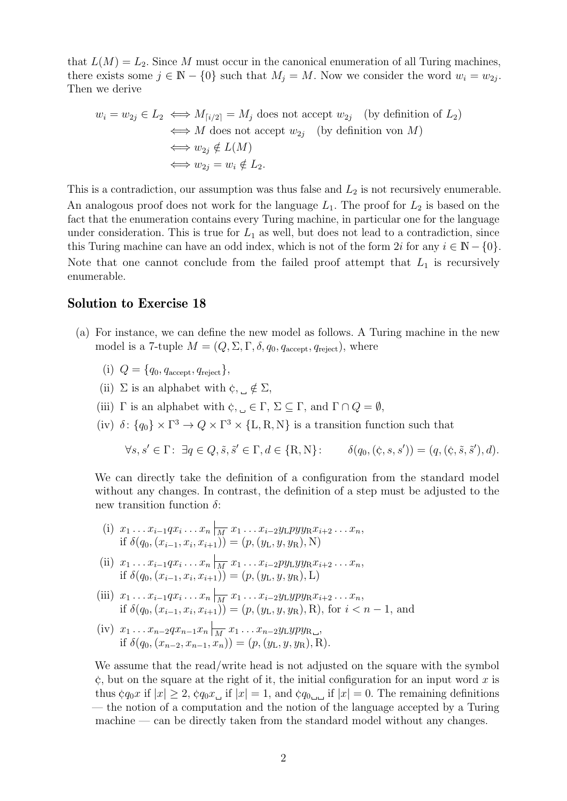that  $L(M) = L_2$ . Since M must occur in the canonical enumeration of all Turing machines, there exists some  $j \in \mathbb{N} - \{0\}$  such that  $M_j = M$ . Now we consider the word  $w_i = w_{2j}$ . Then we derive

$$
w_i = w_{2j} \in L_2 \iff M_{\lceil i/2 \rceil} = M_j \text{ does not accept } w_{2j} \quad \text{(by definition of } L_2)
$$
\n
$$
\iff M \text{ does not accept } w_{2j} \quad \text{(by definition von } M)
$$
\n
$$
\iff w_{2j} \notin L(M)
$$
\n
$$
\iff w_{2j} = w_i \notin L_2.
$$

This is a contradiction, our assumption was thus false and  $L_2$  is not recursively enumerable. An analogous proof does not work for the language  $L_1$ . The proof for  $L_2$  is based on the fact that the enumeration contains every Turing machine, in particular one for the language under consideration. This is true for  $L_1$  as well, but does not lead to a contradiction, since this Turing machine can have an odd index, which is not of the form 2*i* for any  $i \in \mathbb{N} - \{0\}$ . Note that one cannot conclude from the failed proof attempt that  $L_1$  is recursively enumerable.

## Solution to Exercise 18

- (a) For instance, we can define the new model as follows. A Turing machine in the new model is a 7-tuple  $M = (Q, \Sigma, \Gamma, \delta, q_0, q_{\text{accept}}, q_{\text{reject}})$ , where
	- (i)  $Q = \{q_0, q_{\text{accept}}, q_{\text{reject}}\},\$
	- (ii)  $\Sigma$  is an alphabet with  $\phi$ ,  $\Box \notin \Sigma$ ,
	- (iii)  $\Gamma$  is an alphabet with  $\phi, \Box \in \Gamma, \Sigma \subseteq \Gamma$ , and  $\Gamma \cap Q = \emptyset$ ,
	- (iv)  $\delta$ :  $\{q_0\} \times \Gamma^3 \to Q \times \Gamma^3 \times \{L, R, N\}$  is a transition function such that

$$
\forall s, s' \in \Gamma: \ \exists q \in Q, \tilde{s}, \tilde{s}' \in \Gamma, d \in \{\mathbf{R}, \mathbf{N}\}: \qquad \delta(q_0, (\mathbf{c}, s, s')) = (q, (\mathbf{c}, \tilde{s}, \tilde{s}'), d).
$$

We can directly take the definition of a configuration from the standard model without any changes. In contrast, the definition of a step must be adjusted to the new transition function *δ*:

- $(i)$   $x_1 \ldots x_{i-1} q x_i \ldots x_n \vert \overline{M} x_1 \ldots x_{i-2} y_L p y y_R x_{i+2} \ldots x_n$ if  $\delta(q_0, (x_{i-1}, x_i, x_{i+1})) = (p, (y_L, y, y_R), N)$
- $(iii)$   $x_1 \ldots x_{i-1}qx_i \ldots x_n \mid \frac{X}{M} x_1 \ldots x_{i-2}py_{L}yy_{R}x_{i+2} \ldots x_n,$ if  $\delta(q_0, (x_{i-1}, x_i, x_{i+1})) = (p, (y_L, y, y_R), L)$
- $(iii)$   $x_1 \ldots x_{i-1}qx_i \ldots x_n \vert_{\overline{M}} x_1 \ldots x_{i-2}y_{\text{L}}ypy_{\text{R}}x_{i+2} \ldots x_n$ if  $\delta(q_0,(x_{i-1},x_i,x_{i+1})) = (p,(y_L,y,y_R),R)$ , for  $i < n-1$ , and
- $(iv)$   $x_1 \ldots x_{n-2} q x_{n-1} x_n \vert_{\overline{M}} x_1 \ldots x_{n-2} y_{\text{L}} y p y_{\text{R}}$ if  $\delta(q_0, (x_{n-2}, x_{n-1}, x_n)) = (p, (y_L, y, y_R), R).$

We assume that the read/write head is not adjusted on the square with the symbol ¢, but on the square at the right of it, the initial configuration for an input word *<sup>x</sup>* is thus  $\dot{\varphi}_{q_0}x$  if  $|x| \geq 2$ ,  $\dot{\varphi}_{q_0}x$  if  $|x| = 1$ , and  $\dot{\varphi}_{q_0}$  if  $|x| = 0$ . The remaining definitions — the notion of a computation and the notion of the language accepted by a Turing machine — can be directly taken from the standard model without any changes.